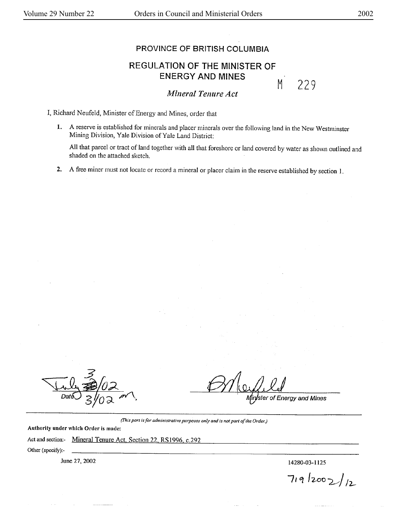## PROVINCE OF BRITISH COLUMBIA

## REGULATION OF THE MINISTER OF ENERGY **AND MINES**

M 229

*lvlineral Tenure Act* 

I, Richard Neufeld, Minister of Energy and Mines, order that

1. A reserve is established for minerals and placer minerals over the following land in the New Westminster Mining Division, Yale Division of Yale Land District:

All that parcel or tract of land together with all that foreshore or land covered by water as shown outlined and shaded on the attached sketch.

2. A free miner must not locate or record a mineral or placer claim in the reserve established by section I.

ster of Energy and Mines

*(!'his part is for administrative purposes only and is not part of the OrderJ* 

Authority under which Order is made:

Act and section:- Mineral Tenure Act, Section 22, RS 1996, c.292

Other (specify):-

June 27, 2002 **later** 27, 2002

 $719/2002/12$